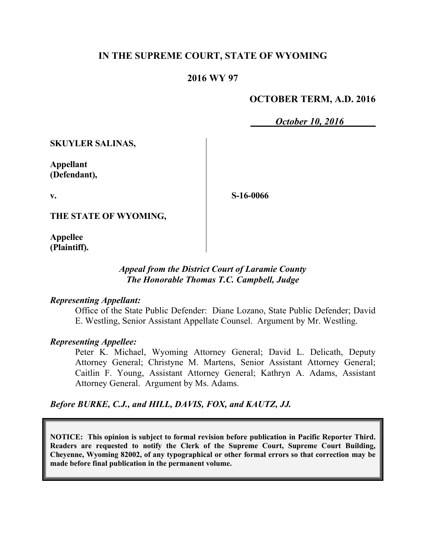## **IN THE SUPREME COURT, STATE OF WYOMING**

### **2016 WY 97**

## **OCTOBER TERM, A.D. 2016**

*October 10, 2016*

**SKUYLER SALINAS,**

**Appellant (Defendant),**

**v.**

**S-16-0066**

**THE STATE OF WYOMING,**

**Appellee (Plaintiff).**

## *Appeal from the District Court of Laramie County The Honorable Thomas T.C. Campbell, Judge*

#### *Representing Appellant:*

Office of the State Public Defender: Diane Lozano, State Public Defender; David E. Westling, Senior Assistant Appellate Counsel. Argument by Mr. Westling.

### *Representing Appellee:*

Peter K. Michael, Wyoming Attorney General; David L. Delicath, Deputy Attorney General; Christyne M. Martens, Senior Assistant Attorney General; Caitlin F. Young, Assistant Attorney General; Kathryn A. Adams, Assistant Attorney General. Argument by Ms. Adams.

### *Before BURKE, C.J., and HILL, DAVIS, FOX, and KAUTZ, JJ.*

**NOTICE: This opinion is subject to formal revision before publication in Pacific Reporter Third. Readers are requested to notify the Clerk of the Supreme Court, Supreme Court Building, Cheyenne, Wyoming 82002, of any typographical or other formal errors so that correction may be made before final publication in the permanent volume.**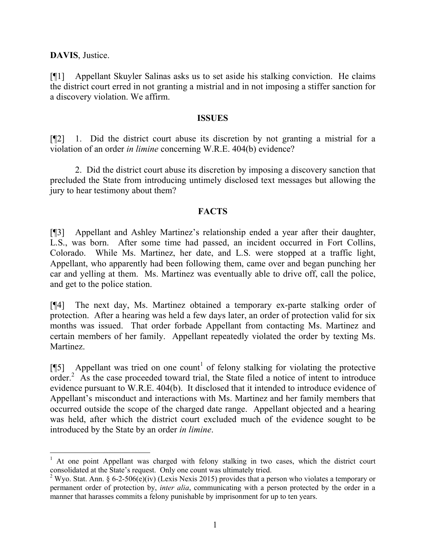**DAVIS**, Justice.

 $\overline{a}$ 

[¶1] Appellant Skuyler Salinas asks us to set aside his stalking conviction. He claims the district court erred in not granting a mistrial and in not imposing a stiffer sanction for a discovery violation. We affirm.

#### **ISSUES**

[¶2] 1. Did the district court abuse its discretion by not granting a mistrial for a violation of an order *in limine* concerning W.R.E. 404(b) evidence?

2. Did the district court abuse its discretion by imposing a discovery sanction that precluded the State from introducing untimely disclosed text messages but allowing the jury to hear testimony about them?

#### **FACTS**

[¶3] Appellant and Ashley Martinez's relationship ended a year after their daughter, L.S., was born. After some time had passed, an incident occurred in Fort Collins, Colorado. While Ms. Martinez, her date, and L.S. were stopped at a traffic light, Appellant, who apparently had been following them, came over and began punching her car and yelling at them. Ms. Martinez was eventually able to drive off, call the police, and get to the police station.

[¶4] The next day, Ms. Martinez obtained a temporary ex-parte stalking order of protection. After a hearing was held a few days later, an order of protection valid for six months was issued. That order forbade Appellant from contacting Ms. Martinez and certain members of her family. Appellant repeatedly violated the order by texting Ms. Martinez.

[ $\llbracket$ 5] Appellant was tried on one count<sup>1</sup> of felony stalking for violating the protective  $\arctan^2$  As the case proceeded toward trial, the State filed a notice of intent to introduce evidence pursuant to W.R.E. 404(b). It disclosed that it intended to introduce evidence of Appellant's misconduct and interactions with Ms. Martinez and her family members that occurred outside the scope of the charged date range. Appellant objected and a hearing was held, after which the district court excluded much of the evidence sought to be introduced by the State by an order *in limine*.

<sup>&</sup>lt;sup>1</sup> At one point Appellant was charged with felony stalking in two cases, which the district court consolidated at the State's request. Only one count was ultimately tried.

<sup>&</sup>lt;sup>2</sup> Wyo. Stat. Ann. § 6-2-506(e)(iv) (Lexis Nexis 2015) provides that a person who violates a temporary or permanent order of protection by, *inter alia*, communicating with a person protected by the order in a manner that harasses commits a felony punishable by imprisonment for up to ten years.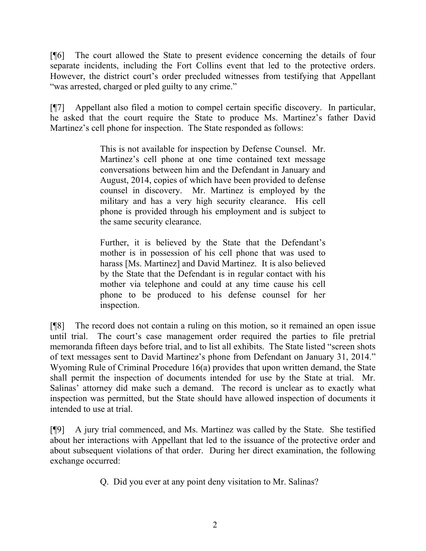[¶6] The court allowed the State to present evidence concerning the details of four separate incidents, including the Fort Collins event that led to the protective orders. However, the district court's order precluded witnesses from testifying that Appellant "was arrested, charged or pled guilty to any crime."

[¶7] Appellant also filed a motion to compel certain specific discovery. In particular, he asked that the court require the State to produce Ms. Martinez's father David Martinez's cell phone for inspection. The State responded as follows:

> This is not available for inspection by Defense Counsel. Mr. Martinez's cell phone at one time contained text message conversations between him and the Defendant in January and August, 2014, copies of which have been provided to defense counsel in discovery. Mr. Martinez is employed by the military and has a very high security clearance. His cell phone is provided through his employment and is subject to the same security clearance.

> Further, it is believed by the State that the Defendant's mother is in possession of his cell phone that was used to harass [Ms. Martinez] and David Martinez. It is also believed by the State that the Defendant is in regular contact with his mother via telephone and could at any time cause his cell phone to be produced to his defense counsel for her inspection.

[¶8] The record does not contain a ruling on this motion, so it remained an open issue until trial. The court's case management order required the parties to file pretrial memoranda fifteen days before trial, and to list all exhibits. The State listed "screen shots of text messages sent to David Martinez's phone from Defendant on January 31, 2014." Wyoming Rule of Criminal Procedure 16(a) provides that upon written demand, the State shall permit the inspection of documents intended for use by the State at trial. Mr. Salinas' attorney did make such a demand. The record is unclear as to exactly what inspection was permitted, but the State should have allowed inspection of documents it intended to use at trial.

[¶9] A jury trial commenced, and Ms. Martinez was called by the State. She testified about her interactions with Appellant that led to the issuance of the protective order and about subsequent violations of that order. During her direct examination, the following exchange occurred:

Q. Did you ever at any point deny visitation to Mr. Salinas?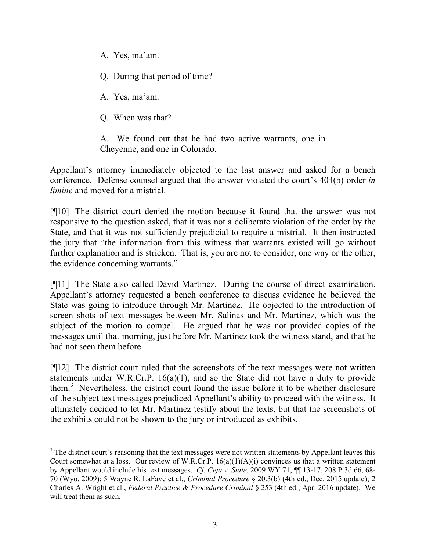- A. Yes, ma'am.
- Q. During that period of time?

A. Yes, ma'am.

Q. When was that?

A. We found out that he had two active warrants, one in Cheyenne, and one in Colorado.

Appellant's attorney immediately objected to the last answer and asked for a bench conference. Defense counsel argued that the answer violated the court's 404(b) order *in limine* and moved for a mistrial.

[¶10] The district court denied the motion because it found that the answer was not responsive to the question asked, that it was not a deliberate violation of the order by the State, and that it was not sufficiently prejudicial to require a mistrial. It then instructed the jury that "the information from this witness that warrants existed will go without further explanation and is stricken. That is, you are not to consider, one way or the other, the evidence concerning warrants."

[¶11] The State also called David Martinez. During the course of direct examination, Appellant's attorney requested a bench conference to discuss evidence he believed the State was going to introduce through Mr. Martinez. He objected to the introduction of screen shots of text messages between Mr. Salinas and Mr. Martinez, which was the subject of the motion to compel. He argued that he was not provided copies of the messages until that morning, just before Mr. Martinez took the witness stand, and that he had not seen them before.

[¶12] The district court ruled that the screenshots of the text messages were not written statements under W.R.Cr.P. 16(a)(1), and so the State did not have a duty to provide them.<sup>3</sup> Nevertheless, the district court found the issue before it to be whether disclosure of the subject text messages prejudiced Appellant's ability to proceed with the witness. It ultimately decided to let Mr. Martinez testify about the texts, but that the screenshots of the exhibits could not be shown to the jury or introduced as exhibits.

<sup>&</sup>lt;sup>3</sup> The district court's reasoning that the text messages were not written statements by Appellant leaves this Court somewhat at a loss. Our review of W.R.Cr.P. 16(a)(1)(A)(i) convinces us that a written statement by Appellant would include his text messages. *Cf. Ceja v. State*, 2009 WY 71, ¶¶ 13-17, 208 P.3d 66, 68- 70 (Wyo. 2009); 5 Wayne R. LaFave et al., *Criminal Procedure* § 20.3(b) (4th ed., Dec. 2015 update); 2 Charles A. Wright et al., *Federal Practice & Procedure Criminal* § 253 (4th ed., Apr. 2016 update). We will treat them as such.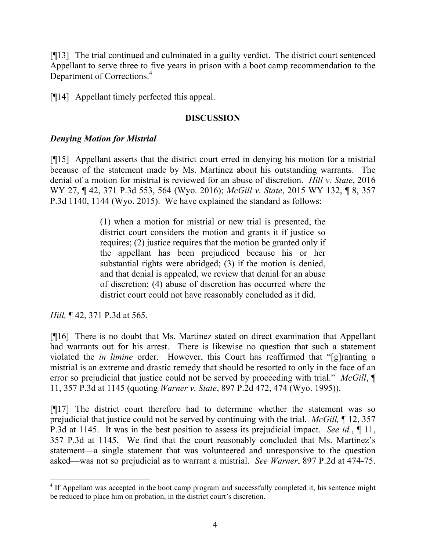[¶13] The trial continued and culminated in a guilty verdict. The district court sentenced Appellant to serve three to five years in prison with a boot camp recommendation to the Department of Corrections.<sup>4</sup>

[¶14] Appellant timely perfected this appeal.

## **DISCUSSION**

# *Denying Motion for Mistrial*

[¶15] Appellant asserts that the district court erred in denying his motion for a mistrial because of the statement made by Ms. Martinez about his outstanding warrants. The denial of a motion for mistrial is reviewed for an abuse of discretion. *Hill v. State*, 2016 WY 27, ¶ 42, 371 P.3d 553, 564 (Wyo. 2016); *McGill v. State*, 2015 WY 132, ¶ 8, 357 P.3d 1140, 1144 (Wyo. 2015). We have explained the standard as follows:

> (1) when a motion for mistrial or new trial is presented, the district court considers the motion and grants it if justice so requires; (2) justice requires that the motion be granted only if the appellant has been prejudiced because his or her substantial rights were abridged; (3) if the motion is denied, and that denial is appealed, we review that denial for an abuse of discretion; (4) abuse of discretion has occurred where the district court could not have reasonably concluded as it did.

*Hill,* ¶ 42, 371 P.3d at 565.

[¶16] There is no doubt that Ms. Martinez stated on direct examination that Appellant had warrants out for his arrest. There is likewise no question that such a statement violated the *in limine* order. However, this Court has reaffirmed that "[g]ranting a mistrial is an extreme and drastic remedy that should be resorted to only in the face of an error so prejudicial that justice could not be served by proceeding with trial." *McGill*, ¶ 11, 357 P.3d at 1145 (quoting *Warner v. State*, 897 P.2d 472, 474 (Wyo. 1995)).

[¶17] The district court therefore had to determine whether the statement was so prejudicial that justice could not be served by continuing with the trial. *McGill,* ¶ 12, 357 P.3d at 1145. It was in the best position to assess its prejudicial impact. *See id.*, ¶ 11, 357 P.3d at 1145. We find that the court reasonably concluded that Ms. Martinez's statement—a single statement that was volunteered and unresponsive to the question asked—was not so prejudicial as to warrant a mistrial. *See Warner*, 897 P.2d at 474-75.

<sup>&</sup>lt;sup>4</sup> If Appellant was accepted in the boot camp program and successfully completed it, his sentence might be reduced to place him on probation, in the district court's discretion.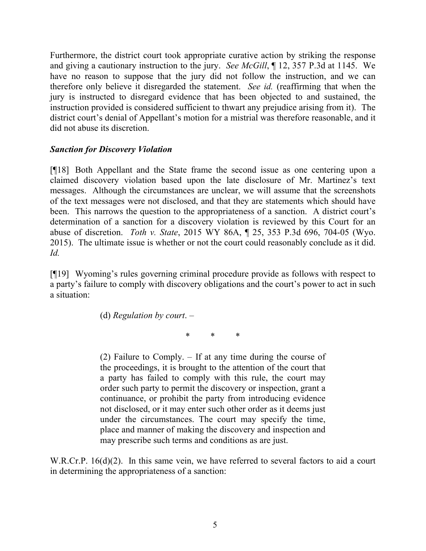Furthermore, the district court took appropriate curative action by striking the response and giving a cautionary instruction to the jury. *See McGill*, ¶ 12, 357 P.3d at 1145. We have no reason to suppose that the jury did not follow the instruction, and we can therefore only believe it disregarded the statement. *See id.* (reaffirming that when the jury is instructed to disregard evidence that has been objected to and sustained, the instruction provided is considered sufficient to thwart any prejudice arising from it). The district court's denial of Appellant's motion for a mistrial was therefore reasonable, and it did not abuse its discretion.

### *Sanction for Discovery Violation*

[¶18] Both Appellant and the State frame the second issue as one centering upon a claimed discovery violation based upon the late disclosure of Mr. Martinez's text messages. Although the circumstances are unclear, we will assume that the screenshots of the text messages were not disclosed, and that they are statements which should have been. This narrows the question to the appropriateness of a sanction. A district court's determination of a sanction for a discovery violation is reviewed by this Court for an abuse of discretion. *Toth v. State*, 2015 WY 86A, ¶ 25, 353 P.3d 696, 704-05 (Wyo. 2015). The ultimate issue is whether or not the court could reasonably conclude as it did. *Id.*

[¶19] Wyoming's rules governing criminal procedure provide as follows with respect to a party's failure to comply with discovery obligations and the court's power to act in such a situation:

(d) *Regulation by court*. –

 $*$   $*$ 

(2) Failure to Comply. – If at any time during the course of the proceedings, it is brought to the attention of the court that a party has failed to comply with this rule, the court may order such party to permit the discovery or inspection, grant a continuance, or prohibit the party from introducing evidence not disclosed, or it may enter such other order as it deems just under the circumstances. The court may specify the time, place and manner of making the discovery and inspection and may prescribe such terms and conditions as are just.

W.R.Cr.P. 16(d)(2). In this same vein, we have referred to several factors to aid a court in determining the appropriateness of a sanction: